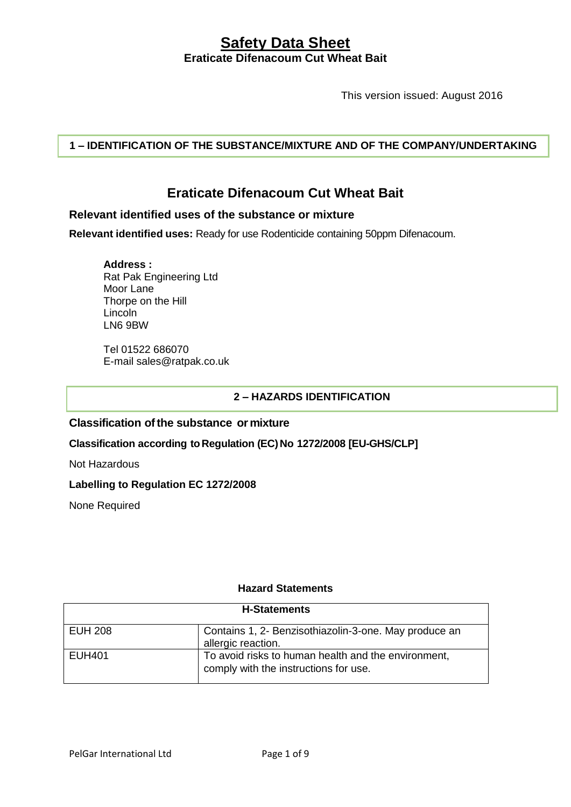This version issued: August 2016

**1 – IDENTIFICATION OF THE SUBSTANCE/MIXTURE AND OF THE COMPANY/UNDERTAKING**

# **Eraticate Difenacoum Cut Wheat Bait**

## **Relevant identified uses of the substance or mixture**

**Relevant identified uses:** Ready for use Rodenticide containing 50ppm Difenacoum.

**Address :** Rat Pak Engineering Ltd Moor Lane Thorpe on the Hill Lincoln LN6 9BW

Tel 01522 686070 E-mail sales@ratpak.co.uk

## **2 – HAZARDS IDENTIFICATION**

#### **Classification ofthe substance or mixture**

**Classification according toRegulation (EC)No 1272/2008 [EU-GHS/CLP]**

Not Hazardous

## **Labelling to Regulation EC 1272/2008**

None Required

## **Hazard Statements**

| <b>H-Statements</b> |                                                                                              |
|---------------------|----------------------------------------------------------------------------------------------|
| <b>EUH 208</b>      | Contains 1, 2- Benzisothiazolin-3-one. May produce an<br>allergic reaction.                  |
| EUH401              | To avoid risks to human health and the environment,<br>comply with the instructions for use. |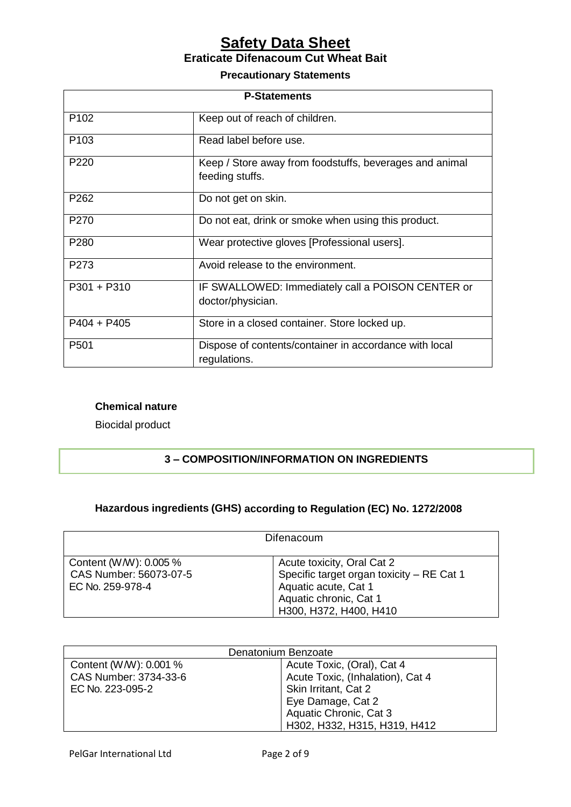# **Precautionary Statements**

| <b>P-Statements</b> |                                                                            |
|---------------------|----------------------------------------------------------------------------|
| P <sub>102</sub>    | Keep out of reach of children.                                             |
| P <sub>103</sub>    | Read label before use.                                                     |
| P <sub>220</sub>    | Keep / Store away from foodstuffs, beverages and animal<br>feeding stuffs. |
| P262                | Do not get on skin.                                                        |
| P <sub>270</sub>    | Do not eat, drink or smoke when using this product.                        |
| P280                | Wear protective gloves [Professional users].                               |
| P <sub>273</sub>    | Avoid release to the environment.                                          |
| $P301 + P310$       | IF SWALLOWED: Immediately call a POISON CENTER or<br>doctor/physician.     |
| $P404 + P405$       | Store in a closed container. Store locked up.                              |
| P <sub>501</sub>    | Dispose of contents/container in accordance with local<br>regulations.     |

## **Chemical nature**

Biocidal product

# **3 – COMPOSITION/INFORMATION ON INGREDIENTS**

# **Hazardous ingredients (GHS) according to Regulation (EC) No. 1272/2008**

| Difenacoum                                                           |                                                                                                                                                     |
|----------------------------------------------------------------------|-----------------------------------------------------------------------------------------------------------------------------------------------------|
| Content (W/W): 0.005 %<br>CAS Number: 56073-07-5<br>EC No. 259-978-4 | Acute toxicity, Oral Cat 2<br>Specific target organ toxicity - RE Cat 1<br>Aquatic acute, Cat 1<br>Aquatic chronic, Cat 1<br>H300, H372, H400, H410 |

| Denatonium Benzoate    |                                  |
|------------------------|----------------------------------|
| Content (W/W): 0.001 % | Acute Toxic, (Oral), Cat 4       |
| CAS Number: 3734-33-6  | Acute Toxic, (Inhalation), Cat 4 |
| EC No. 223-095-2       | Skin Irritant, Cat 2             |
|                        | Eye Damage, Cat 2                |
|                        | Aquatic Chronic, Cat 3           |
|                        | H302, H332, H315, H319, H412     |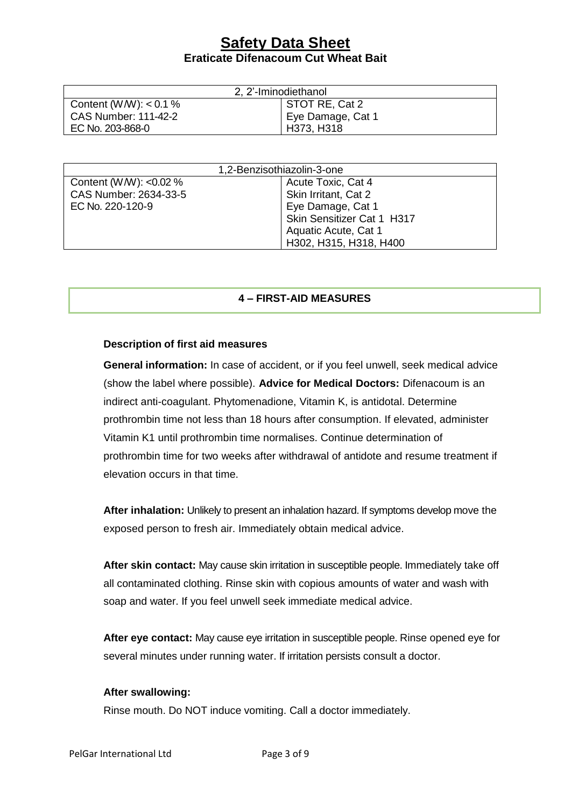| 2, 2'-Iminodiethanol        |                   |  |
|-----------------------------|-------------------|--|
| Content (W/W): $< 0.1 \%$   | STOT RE, Cat 2    |  |
| <b>CAS Number: 111-42-2</b> | Eye Damage, Cat 1 |  |
| EC No. 203-868-0            | H373, H318        |  |

| 1,2-Benzisothiazolin-3-one |                            |
|----------------------------|----------------------------|
| Content (W/W): < $0.02\%$  | Acute Toxic, Cat 4         |
| CAS Number: 2634-33-5      | Skin Irritant, Cat 2       |
| EC No. 220-120-9           | Eye Damage, Cat 1          |
|                            | Skin Sensitizer Cat 1 H317 |
|                            | Aquatic Acute, Cat 1       |
|                            | H302, H315, H318, H400     |

#### **4 – FIRST-AID MEASURES**

#### **Description of first aid measures**

**General information:** In case of accident, or if you feel unwell, seek medical advice (show the label where possible). **Advice for Medical Doctors:** Difenacoum is an indirect anti-coagulant. Phytomenadione, Vitamin K, is antidotal. Determine prothrombin time not less than 18 hours after consumption. If elevated, administer Vitamin K1 until prothrombin time normalises. Continue determination of prothrombin time for two weeks after withdrawal of antidote and resume treatment if elevation occurs in that time.

**After inhalation:** Unlikely to present an inhalation hazard. If symptoms develop move the exposed person to fresh air. Immediately obtain medical advice.

**After skin contact:** May cause skin irritation in susceptible people. Immediately take off all contaminated clothing. Rinse skin with copious amounts of water and wash with soap and water. If you feel unwell seek immediate medical advice.

**After eye contact:** May cause eye irritation in susceptible people. Rinse opened eye for several minutes under running water. If irritation persists consult a doctor.

#### **After swallowing:**

Rinse mouth. Do NOT induce vomiting. Call a doctor immediately.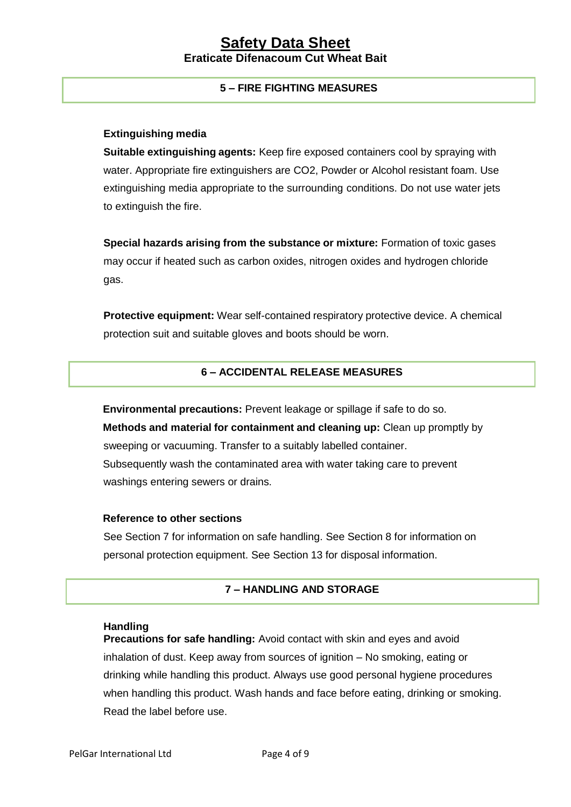# **5 – FIRE FIGHTING MEASURES**

#### **Extinguishing media**

**Suitable extinguishing agents:** Keep fire exposed containers cool by spraying with water. Appropriate fire extinguishers are CO2, Powder or Alcohol resistant foam. Use extinguishing media appropriate to the surrounding conditions. Do not use water jets to extinguish the fire.

**Special hazards arising from the substance or mixture:** Formation of toxic gases may occur if heated such as carbon oxides, nitrogen oxides and hydrogen chloride gas.

**Protective equipment:** Wear self-contained respiratory protective device. A chemical protection suit and suitable gloves and boots should be worn.

# **6 – ACCIDENTAL RELEASE MEASURES**

**Environmental precautions:** Prevent leakage or spillage if safe to do so. **Methods and material for containment and cleaning up:** Clean up promptly by sweeping or vacuuming. Transfer to a suitably labelled container. Subsequently wash the contaminated area with water taking care to prevent washings entering sewers or drains.

#### **Reference to other sections**

See Section 7 for information on safe handling. See Section 8 for information on personal protection equipment. See Section 13 for disposal information.

#### **7 – HANDLING AND STORAGE**

#### **Handling**

**Precautions for safe handling:** Avoid contact with skin and eyes and avoid inhalation of dust. Keep away from sources of ignition – No smoking, eating or drinking while handling this product. Always use good personal hygiene procedures when handling this product. Wash hands and face before eating, drinking or smoking. Read the label before use.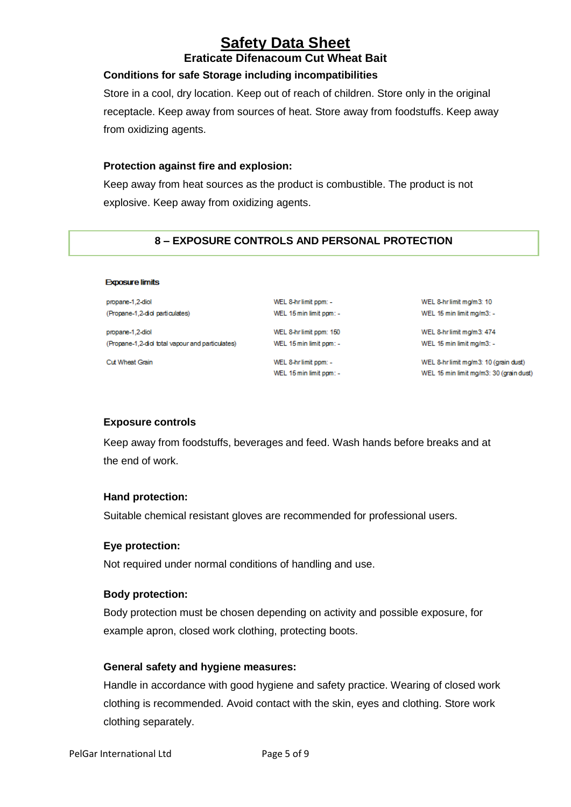# **Safety Data Sheet**

# **Eraticate Difenacoum Cut Wheat Bait**

## **Conditions for safe Storage including incompatibilities**

Store in a cool, dry location. Keep out of reach of children. Store only in the original receptacle. Keep away from sources of heat. Store away from foodstuffs. Keep away from oxidizing agents.

#### **Protection against fire and explosion:**

Keep away from heat sources as the product is combustible. The product is not explosive. Keep away from oxidizing agents.

# **8 – EXPOSURE CONTROLS AND PERSONAL PROTECTION**

WEL 8-hr limit ppm: -

WEL 15 min limit ppm: -

WEL 8-hr limit ppm: 150

WEL 15 min limit ppm: -

| propane-1,2-diol                                |  |
|-------------------------------------------------|--|
| (Propane-1,2-did particulates)                  |  |
|                                                 |  |
| propane-1,2-diol                                |  |
| (Propane-1,2-did total vapour and particulates) |  |
|                                                 |  |

WEL 8-hr limit ppm: -WEL 15 min limit ppm: -

WEL 8-hr limit mg/m3: 10 WEL 15 min limit mg/m3: -

WEL 8-hr limit mg/m3: 474 WEL 15 min limit mg/m3: -

WEL 8-hr limit mg/m3: 10 (grain dust) WEL 15 min limit mg/m3: 30 (grain dust)

## **Exposure controls**

**Exposure limits** 

Cut Wheat Grain

Keep away from foodstuffs, beverages and feed. Wash hands before breaks and at the end of work.

## **Hand protection:**

Suitable chemical resistant gloves are recommended for professional users.

## **Eye protection:**

Not required under normal conditions of handling and use.

## **Body protection:**

Body protection must be chosen depending on activity and possible exposure, for example apron, closed work clothing, protecting boots.

## **General safety and hygiene measures:**

Handle in accordance with good hygiene and safety practice. Wearing of closed work clothing is recommended. Avoid contact with the skin, eyes and clothing. Store work clothing separately.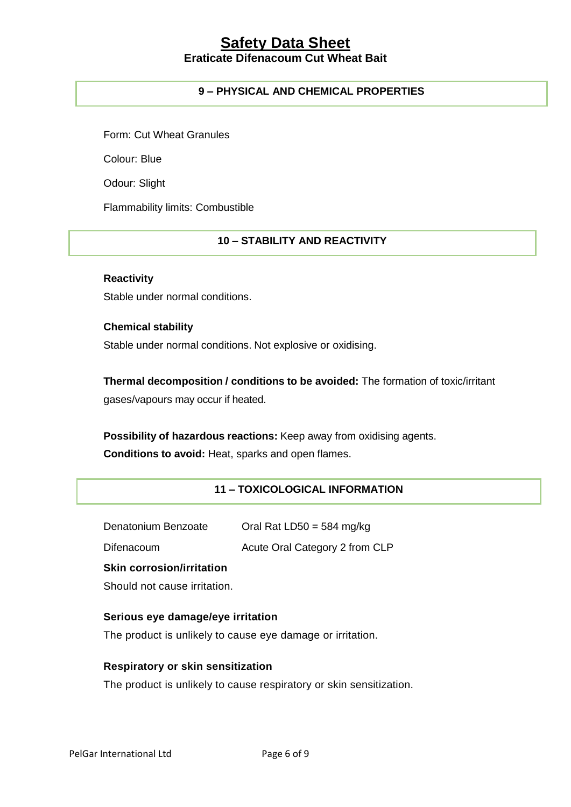# **9 – PHYSICAL AND CHEMICAL PROPERTIES**

Form: Cut Wheat Granules

Colour: Blue

Odour: Slight

Flammability limits: Combustible

# **10 – STABILITY AND REACTIVITY**

#### **Reactivity**

Stable under normal conditions.

**Chemical stability** Stable under normal conditions. Not explosive or oxidising.

**Thermal decomposition / conditions to be avoided:** The formation of toxic/irritant gases/vapours may occur if heated.

**Possibility of hazardous reactions:** Keep away from oxidising agents. **Conditions to avoid:** Heat, sparks and open flames.

# **11 – TOXICOLOGICAL INFORMATION**

| Oral Rat LD50 = 584 mg/kg |
|---------------------------|
|                           |

Difenacoum Acute Oral Category 2 from CLP

## **Skin corrosion/irritation**

Should not cause irritation.

# **Serious eye damage/eye irritation**

The product is unlikely to cause eye damage or irritation.

## **Respiratory or skin sensitization**

The product is unlikely to cause respiratory or skin sensitization.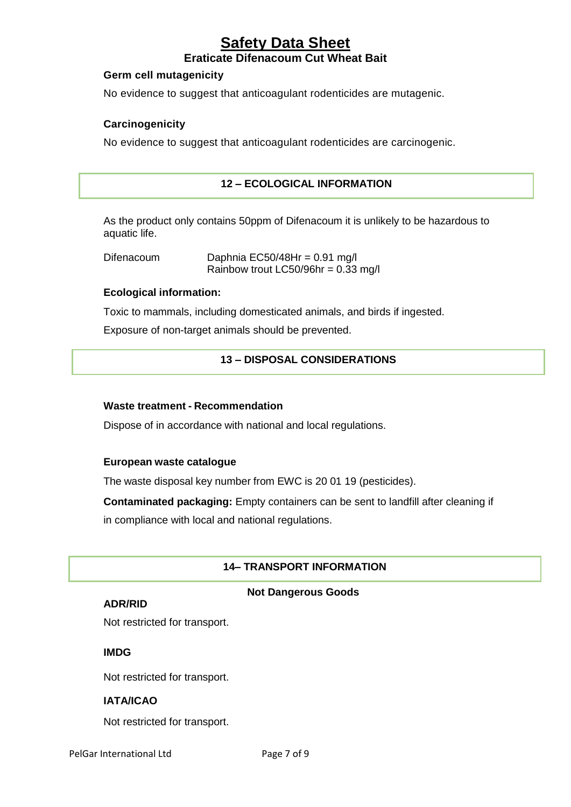#### **Germ cell mutagenicity**

No evidence to suggest that anticoagulant rodenticides are mutagenic.

# **Carcinogenicity**

No evidence to suggest that anticoagulant rodenticides are carcinogenic.

# **12 – ECOLOGICAL INFORMATION**

As the product only contains 50ppm of Difenacoum it is unlikely to be hazardous to aquatic life.

Difenacoum Daphnia EC50/48Hr = 0.91 mg/l Rainbow trout LC50/96hr =  $0.33$  mg/l

#### **Ecological information:**

Toxic to mammals, including domesticated animals, and birds if ingested.

Exposure of non-target animals should be prevented.

#### **13 – DISPOSAL CONSIDERATIONS**

#### **Waste treatment - Recommendation**

Dispose of in accordance with national and local regulations.

#### **European waste catalogue**

The waste disposal key number from EWC is 20 01 19 (pesticides).

**Contaminated packaging:** Empty containers can be sent to landfill after cleaning if

in compliance with local and national regulations.

## **14– TRANSPORT INFORMATION**

#### **Not Dangerous Goods**

#### **ADR/RID**

Not restricted for transport.

#### **IMDG**

Not restricted for transport.

## **IATA/ICAO**

Not restricted for transport.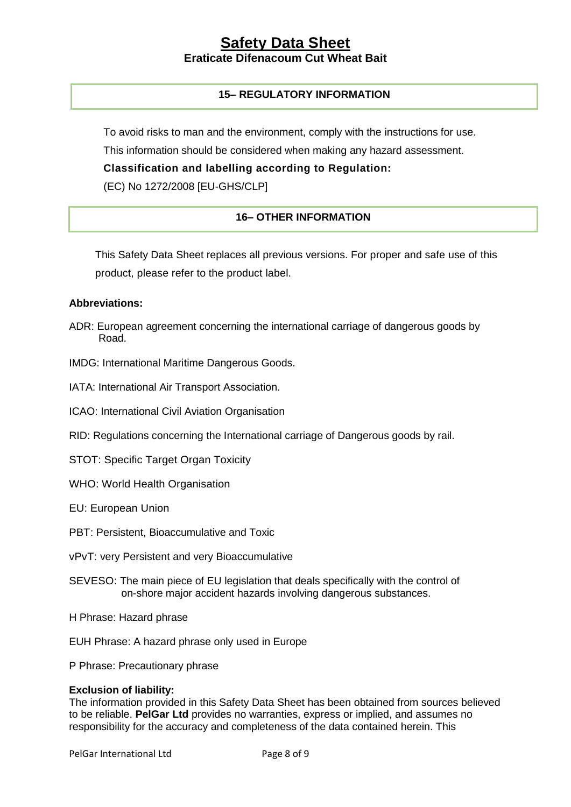## **15– REGULATORY INFORMATION**

To avoid risks to man and the environment, comply with the instructions for use.

This information should be considered when making any hazard assessment.

**Classification and labelling according to Regulation:** 

(EC) No 1272/2008 [EU-GHS/CLP]

# **16– OTHER INFORMATION**

This Safety Data Sheet replaces all previous versions. For proper and safe use of this product, please refer to the product label.

#### **Abbreviations:**

- ADR: European agreement concerning the international carriage of dangerous goods by Road.
- IMDG: International Maritime Dangerous Goods.
- IATA: International Air Transport Association.
- ICAO: International Civil Aviation Organisation
- RID: Regulations concerning the International carriage of Dangerous goods by rail.
- STOT: Specific Target Organ Toxicity
- WHO: World Health Organisation
- EU: European Union
- PBT: Persistent, Bioaccumulative and Toxic
- vPvT: very Persistent and very Bioaccumulative
- SEVESO: The main piece of EU legislation that deals specifically with the control of on-shore major accident hazards involving dangerous substances.
- H Phrase: Hazard phrase
- EUH Phrase: A hazard phrase only used in Europe
- P Phrase: Precautionary phrase

#### **Exclusion of liability:**

The information provided in this Safety Data Sheet has been obtained from sources believed to be reliable. **PelGar Ltd** provides no warranties, express or implied, and assumes no responsibility for the accuracy and completeness of the data contained herein. This